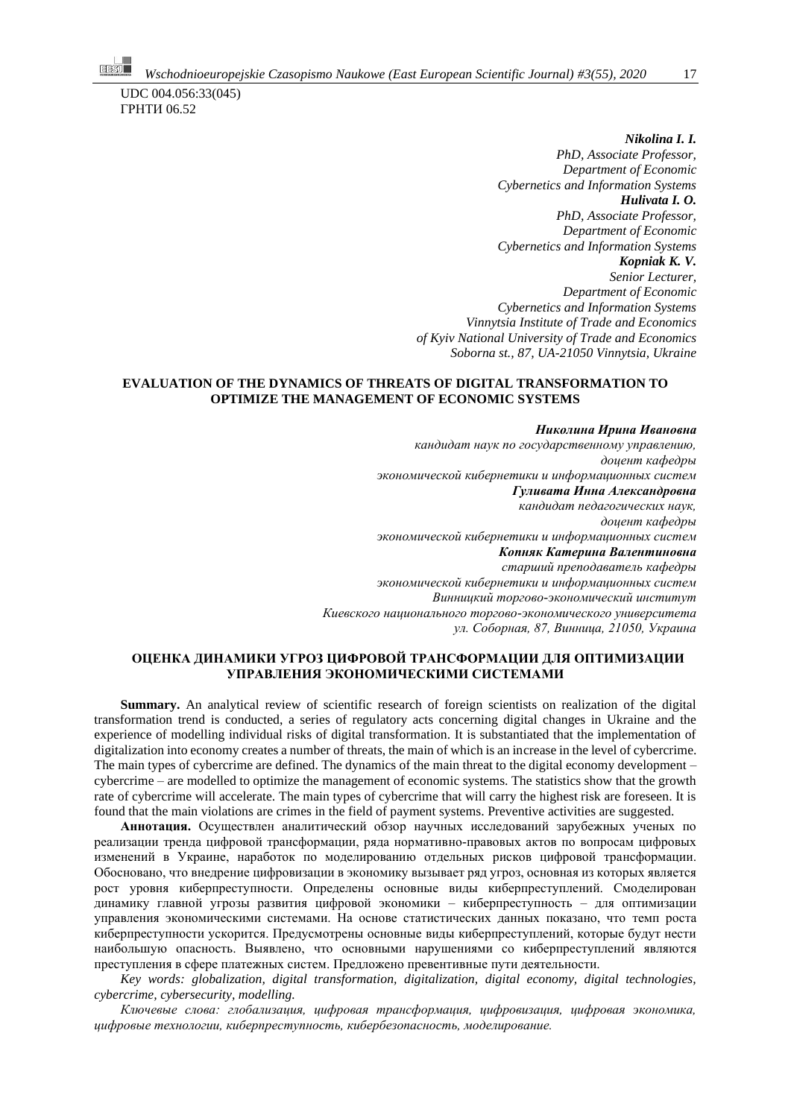UDC 004.056:33(045) ГРНТИ 06.52

> *Nikolina I. I. PhD, Associate Professor, Department of Economic Cybernetics and Information Systems Hulivata I. O. PhD, Associate Professor, Department of Economic Cybernetics and Information Systems Kopniak K. V. Senior Lecturer, Department of Economic Cybernetics and Information Systems Vinnytsia Institute of Trade and Economics of Kyiv National University of Trade and Economics Soborna st., 87, UA-21050 Vinnytsia, Ukraine*

### **EVALUATION OF THE DYNAMICS OF THREATS OF DIGITAL TRANSFORMATION TO OPTIMIZE THE MANAGEMENT OF ECONOMIC SYSTEMS**

*Николина Ирина Ивановна кандидат наук по государственному управлению, доцент кафедры экономической кибернетики и информационных систем Гуливата Инна Александровна кандидат педагогических наук, доцент кафедры экономической кибернетики и информационных систем Копняк Катерина Валентиновна старший преподаватель кафедры экономической кибернетики и информационных систем Винницкий торгово-экономический институт Киевского национального торгово-экономического университета ул. Соборная, 87, Винница, 21050, Украина*

### **ОЦЕНКА ДИНАМИКИ УГРОЗ ЦИФРОВОЙ ТРАНСФОРМАЦИИ ДЛЯ ОПТИМИЗАЦИИ УПРАВЛЕНИЯ ЭКОНОМИЧЕСКИМИ СИСТЕМАМИ**

**Summary.** An analytical review of scientific research of foreign scientists on realization of the digital transformation trend is conducted, a series of regulatory acts concerning digital changes in Ukraine and the experience of modelling individual risks of digital transformation. It is substantiated that the implementation of digitalization into economy creates a number of threats, the main of which is an increase in the level of cybercrime. The main types of cybercrime are defined. The dynamics of the main threat to the digital economy development – cybercrime – are modelled to optimize the management of economic systems. The statistics show that the growth rate of cybercrime will accelerate. The main types of cybercrime that will carry the highest risk are foreseen. It is found that the main violations are crimes in the field of payment systems. Preventive activities are suggested.

**Аннотация.** Осуществлен аналитический обзор научных исследований зарубежных ученых по реализации тренда цифровой трансформации, ряда нормативно-правовых актов по вопросам цифровых изменений в Украине, наработок по моделированию отдельных рисков цифровой трансформации. Обосновано, что внедрение цифровизации в экономику вызывает ряд угроз, основная из которых является рост уровня киберпреступности. Определены основные виды киберпреступлений. Смоделирован динамику главной угрозы развития цифровой экономики – киберпреступность – для оптимизации управления экономическими системами. На основе статистических данных показано, что темп роста киберпреступности ускорится. Предусмотрены основные виды киберпреступлений, которые будут нести наибольшую опасность. Выявлено, что основными нарушениями со киберпреступлений являются преступления в сфере платежных систем. Предложено превентивные пути деятельности.

*Key words: globalization, digital transformation, digitalization, digital economy, digital technologies, cybercrime, cybersecurity, modelling.*

*Ключевые слова: глобализация, цифровая трансформация, цифровизация, цифровая экономика, цифровые технологии, киберпреступность, кибербезопасность, моделирование.*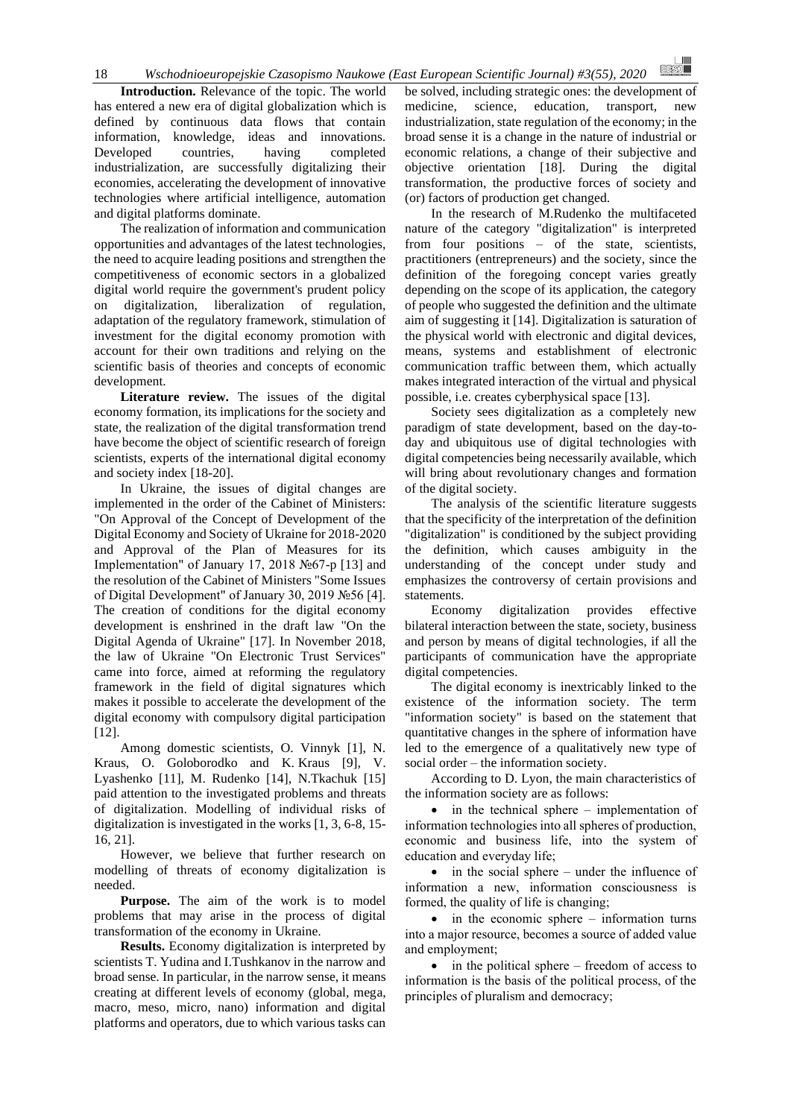**Introduction.** Relevance of the topic. The world has entered a new era of digital globalization which is defined by continuous data flows that contain information, knowledge, ideas and innovations. Developed countries, having completed industrialization, are successfully digitalizing their economies, accelerating the development of innovative technologies where artificial intelligence, automation and digital platforms dominate.

The realization of information and communication opportunities and advantages of the latest technologies, the need to acquire leading positions and strengthen the competitiveness of economic sectors in a globalized digital world require the government's prudent policy on digitalization, liberalization of regulation, adaptation of the regulatory framework, stimulation of investment for the digital economy promotion with account for their own traditions and relying on the scientific basis of theories and concepts of economic development.

**Literature review.** The issues of the digital economy formation, its implications for the society and state, the realization of the digital transformation trend have become the object of scientific research of foreign scientists, experts of the international digital economy and society index [18-20].

In Ukraine, the issues of digital changes are implemented in the order of the Cabinet of Ministers: "On Approval of the Concept of Development of the Digital Economy and Society of Ukraine for 2018-2020 and Approval of the Plan of Measures for its Implementation" of January 17, 2018 №67-p [13] and the resolution of the Cabinet of Ministers "Some Issues of Digital Development" of January 30, 2019 №56 [4]. The creation of conditions for the digital economy development is enshrined in the draft law "On the Digital Agenda of Ukraine" [17]. In November 2018, the law of Ukraine "On Electronic Trust Services" came into force, aimed at reforming the regulatory framework in the field of digital signatures which makes it possible to accelerate the development of the digital economy with compulsory digital participation [12].

Among domestic scientists, O. Vinnyk [1], N. Kraus, O. Goloborodko and K. Kraus [9], V. Lyashenko [11], M. Rudenko [14], N.Tkachuk [15] paid attention to the investigated problems and threats of digitalization. Modelling of individual risks of digitalization is investigated in the works [1, 3, 6-8, 15- 16, 21].

However, we believe that further research on modelling of threats of economy digitalization is needed.

**Purpose.** The aim of the work is to model problems that may arise in the process of digital transformation of the economy in Ukraine.

**Results.** Economy digitalization is interpreted by scientists T. Yudina and I.Tushkanov in the narrow and broad sense. In particular, in the narrow sense, it means creating at different levels of economy (global, mega, macro, meso, micro, nano) information and digital platforms and operators, due to which various tasks can

be solved, including strategic ones: the development of medicine, science, education, transport, new industrialization, state regulation of the economy; in the broad sense it is a change in the nature of industrial or economic relations, a change of their subjective and objective orientation [18]. During the digital transformation, the productive forces of society and (or) factors of production get changed.

In the research of M.Rudenko the multifaceted nature of the category "digitalization" is interpreted from four positions – of the state, scientists, practitioners (entrepreneurs) and the society, since the definition of the foregoing concept varies greatly depending on the scope of its application, the category of people who suggested the definition and the ultimate aim of suggesting it [14]. Digitalization is saturation of the physical world with electronic and digital devices, means, systems and establishment of electronic communication traffic between them, which actually makes integrated interaction of the virtual and physical possible, i.e. creates cyberphysical space [13].

Society sees digitalization as a completely new paradigm of state development, based on the day-today and ubiquitous use of digital technologies with digital competencies being necessarily available, which will bring about revolutionary changes and formation of the digital society.

The analysis of the scientific literature suggests that the specificity of the interpretation of the definition "digitalization" is conditioned by the subject providing the definition, which causes ambiguity in the understanding of the concept under study and emphasizes the controversy of certain provisions and statements.

Economy digitalization provides effective bilateral interaction between the state, society, business and person by means of digital technologies, if all the participants of communication have the appropriate digital competencies.

The digital economy is inextricably linked to the existence of the information society. The term "information society" is based on the statement that quantitative changes in the sphere of information have led to the emergence of a qualitatively new type of social order – the information society.

According to D. Lyon, the main characteristics of the information society are as follows:

• in the technical sphere – implementation of information technologies into all spheres of production, economic and business life, into the system of education and everyday life;

• in the social sphere – under the influence of information a new, information consciousness is formed, the quality of life is changing;

 $\bullet$  in the economic sphere – information turns into a major resource, becomes a source of added value and employment;

• in the political sphere – freedom of access to information is the basis of the political process, of the principles of pluralism and democracy;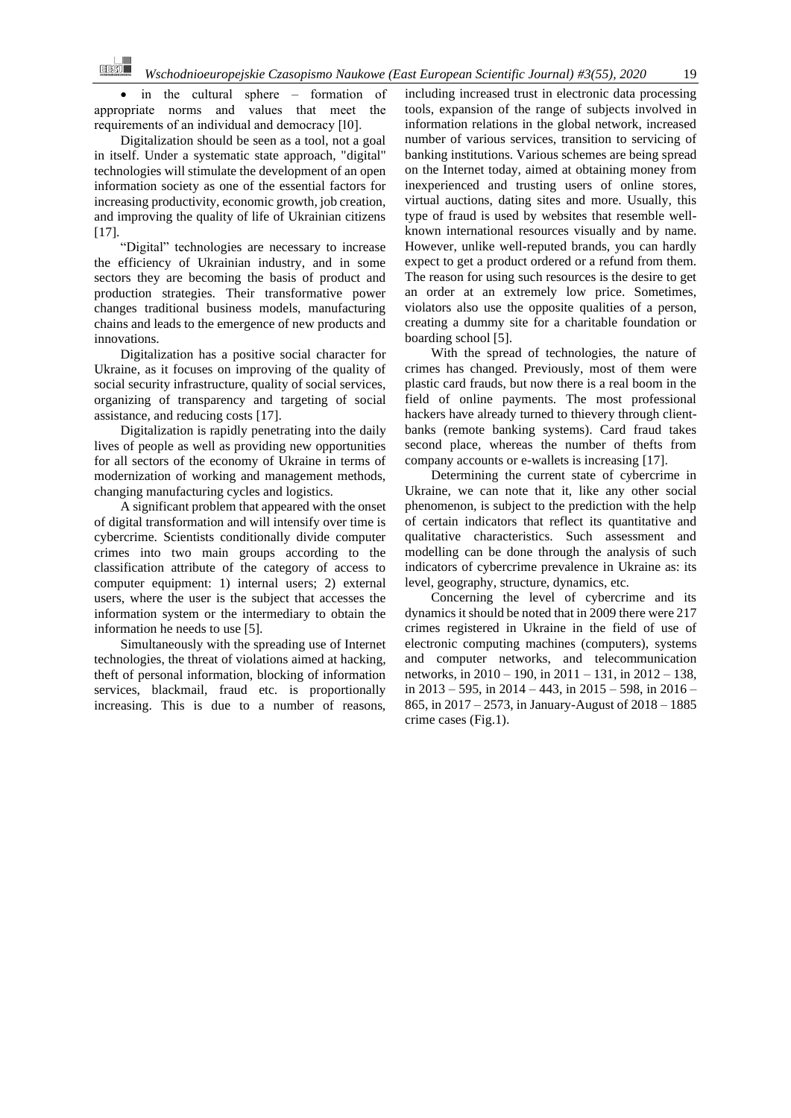in the cultural sphere – formation of appropriate norms and values that meet the requirements of an individual and democracy [10].

Digitalization should be seen as a tool, not a goal in itself. Under a systematic state approach, "digital" technologies will stimulate the development of an open information society as one of the essential factors for increasing productivity, economic growth, job creation, and improving the quality of life of Ukrainian citizens [17].

"Digital" technologies are necessary to increase the efficiency of Ukrainian industry, and in some sectors they are becoming the basis of product and production strategies. Their transformative power changes traditional business models, manufacturing chains and leads to the emergence of new products and innovations.

Digitalization has a positive social character for Ukraine, as it focuses on improving of the quality of social security infrastructure, quality of social services, organizing of transparency and targeting of social assistance, and reducing costs [17].

Digitalization is rapidly penetrating into the daily lives of people as well as providing new opportunities for all sectors of the economy of Ukraine in terms of modernization of working and management methods, changing manufacturing cycles and logistics.

A significant problem that appeared with the onset of digital transformation and will intensify over time is cybercrime. Scientists conditionally divide computer crimes into two main groups according to the classification attribute of the category of access to computer equipment: 1) internal users; 2) external users, where the user is the subject that accesses the information system or the intermediary to obtain the information he needs to use [5].

Simultaneously with the spreading use of Internet technologies, the threat of violations aimed at hacking, theft of personal information, blocking of information services, blackmail, fraud etc. is proportionally increasing. This is due to a number of reasons, including increased trust in electronic data processing tools, expansion of the range of subjects involved in information relations in the global network, increased number of various services, transition to servicing of banking institutions. Various schemes are being spread on the Internet today, aimed at obtaining money from inexperienced and trusting users of online stores, virtual auctions, dating sites and more. Usually, this type of fraud is used by websites that resemble wellknown international resources visually and by name. However, unlike well-reputed brands, you can hardly expect to get a product ordered or a refund from them. The reason for using such resources is the desire to get an order at an extremely low price. Sometimes, violators also use the opposite qualities of a person, creating a dummy site for a charitable foundation or boarding school [5].

With the spread of technologies, the nature of crimes has changed. Previously, most of them were plastic card frauds, but now there is a real boom in the field of online payments. The most professional hackers have already turned to thievery through clientbanks (remote banking systems). Card fraud takes second place, whereas the number of thefts from company accounts or e-wallets is increasing [17].

Determining the current state of cybercrime in Ukraine, we can note that it, like any other social phenomenon, is subject to the prediction with the help of certain indicators that reflect its quantitative and qualitative characteristics. Such assessment and modelling can be done through the analysis of such indicators of cybercrime prevalence in Ukraine as: its level, geography, structure, dynamics, etc.

Concerning the level of cybercrime and its dynamics it should be noted that in 2009 there were 217 crimes registered in Ukraine in the field of use of electronic computing machines (computers), systems and computer networks, and telecommunication networks, in 2010 – 190, in 2011 – 131, in 2012 – 138, in 2013 – 595, in 2014 – 443, in 2015 – 598, in 2016 – 865, in 2017 – 2573, in January-August of 2018 – 1885 crime cases (Fig.1).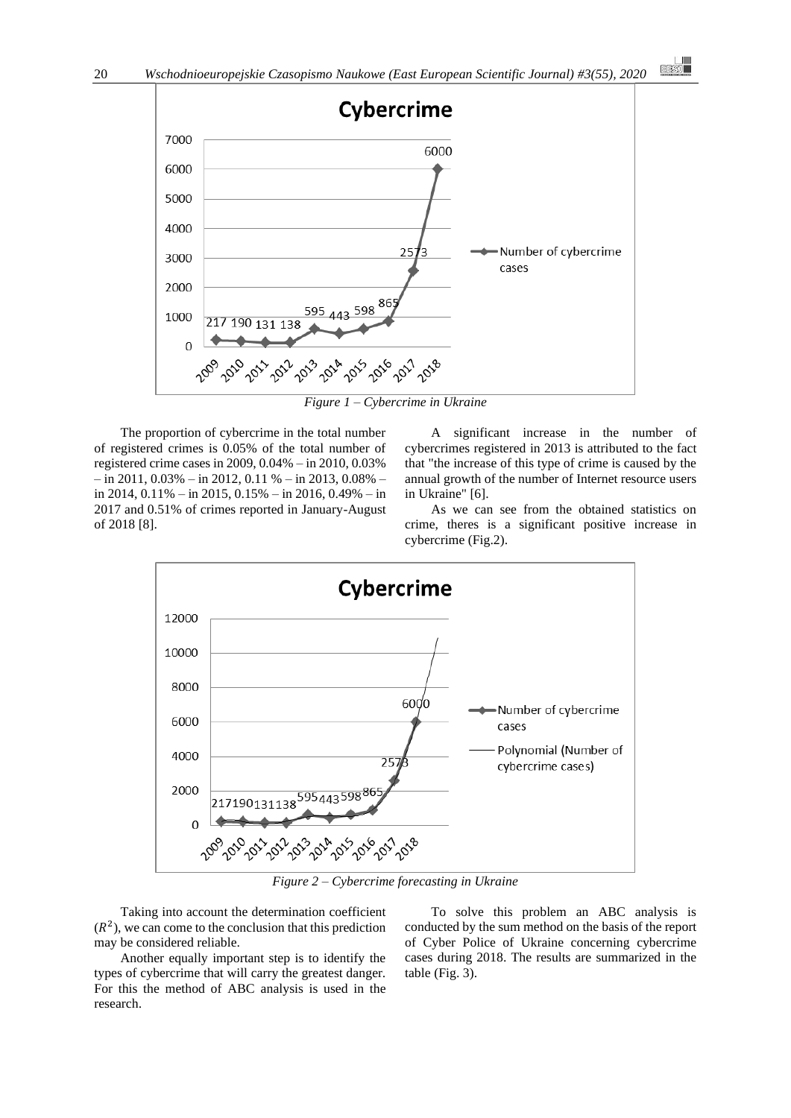

*Figure 1 – Cybercrime in Ukraine*

The proportion of cybercrime in the total number of registered crimes is 0.05% of the total number of registered crime cases in 2009, 0.04% – in 2010, 0.03%  $-$  in 2011, 0.03%  $-$  in 2012, 0.11 %  $-$  in 2013, 0.08%  $$ in 2014, 0.11% – in 2015, 0.15% – in 2016, 0.49% – in 2017 and 0.51% of crimes reported in January-August of 2018 [8].

A significant increase in the number of cybercrimes registered in 2013 is attributed to the fact that "the increase of this type of crime is caused by the annual growth of the number of Internet resource users in Ukraine" [6].

 $\begin{array}{c} \hline \phantom{000000000} \text{[IBS]} \end{array}$ 

As we can see from the obtained statistics on crime, theres is a significant positive increase in cybercrime (Fig.2).



*Figure 2 – Cybercrime forecasting in Ukraine*

Taking into account the determination coefficient  $(R<sup>2</sup>)$ , we can come to the conclusion that this prediction may be considered reliable.

Another equally important step is to identify the types of cybercrime that will carry the greatest danger. For this the method of ABC analysis is used in the research.

To solve this problem an ABC analysis is conducted by the sum method on the basis of the report of Cyber Police of Ukraine concerning cybercrime cases during 2018. The results are summarized in the table (Fig. 3).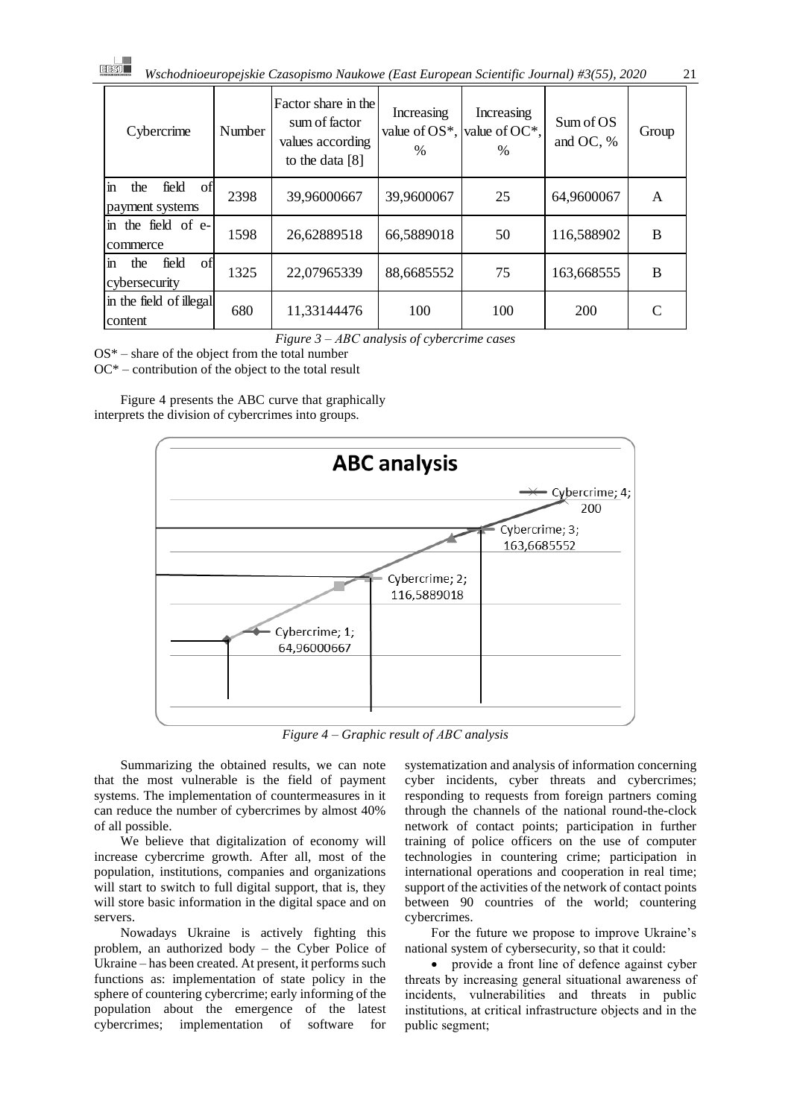| Cybercrime                                           | <b>Number</b> | Factor share in the<br>sum of factor<br>values according<br>to the data $[8]$ | Increasing<br>value of $OS^*$ , value of $OC^*$ ,<br>$\frac{0}{0}$ | Increasing<br>% | Sum of OS<br>and OC, % | Group |
|------------------------------------------------------|---------------|-------------------------------------------------------------------------------|--------------------------------------------------------------------|-----------------|------------------------|-------|
| field<br>the<br>ofl<br>in<br>payment systems         | 2398          | 39,96000667                                                                   | 39,9600067                                                         | 25              | 64,9600067             | A     |
| the field of e-<br>$\overline{\text{m}}$<br>commerce | 1598          | 26,62889518                                                                   | 66,5889018                                                         | 50              | 116,588902             | B     |
| field<br>of<br>the<br>$\mathbf{m}$<br>cybersecurity  | 1325          | 22,07965339                                                                   | 88,6685552                                                         | 75              | 163,668555             | B     |
| in the field of illegal<br>content                   | 680           | 11,33144476                                                                   | 100                                                                | 100             | 200                    |       |

*Figure 3 – АВС analysis of cybercrime cases*

 $OS^*$  – share of the object from the total number

OC\* – contribution of the object to the total result

Figure 4 presents the ABC curve that graphically interprets the division of cybercrimes into groups.



*Figure 4 – Graphic result of АВС analysis*

Summarizing the obtained results, we can note that the most vulnerable is the field of payment systems. The implementation of countermeasures in it can reduce the number of cybercrimes by almost 40% of all possible.

We believe that digitalization of economy will increase cybercrime growth. After all, most of the population, institutions, companies and organizations will start to switch to full digital support, that is, they will store basic information in the digital space and on servers.

Nowadays Ukraine is actively fighting this problem, an authorized body – the Cyber Police of Ukraine – has been created. At present, it performs such functions as: implementation of state policy in the sphere of countering cybercrime; early informing of the population about the emergence of the latest cybercrimes; implementation of software for

systematization and analysis of information concerning cyber incidents, cyber threats and cybercrimes; responding to requests from foreign partners coming through the channels of the national round-the-clock network of contact points; participation in further training of police officers on the use of computer technologies in countering crime; participation in international operations and cooperation in real time; support of the activities of the network of contact points between 90 countries of the world; countering cybercrimes.

For the future we propose to improve Ukraine's national system of cybersecurity, so that it could:

• provide a front line of defence against cyber threats by increasing general situational awareness of incidents, vulnerabilities and threats in public institutions, at critical infrastructure objects and in the public segment;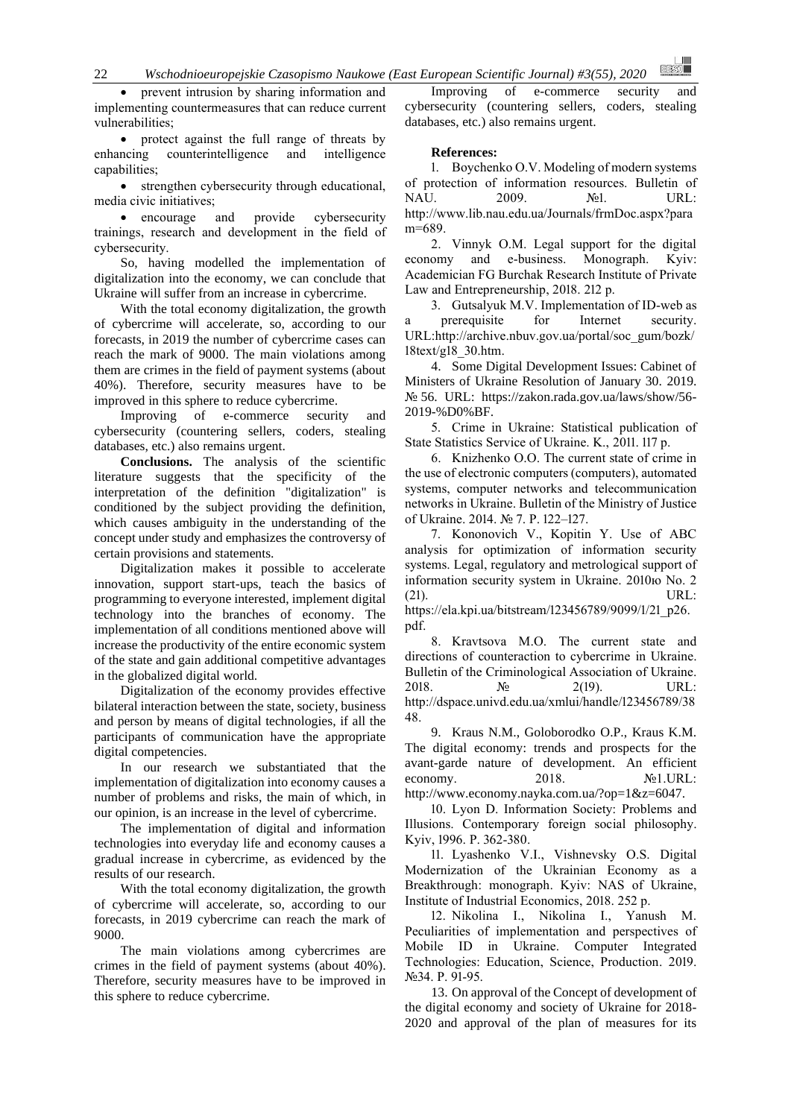22 *Wschodnioeuropejskie Czasopismo Naukowe (East European Scientific Journal) #3(55), 2020*

prevent intrusion by sharing information and implementing countermeasures that can reduce current vulnerabilities;

• protect against the full range of threats by enhancing counterintelligence and intelligence capabilities;

• strengthen cybersecurity through educational, media civic initiatives;

• encourage and provide cybersecurity trainings, research and development in the field of cybersecurity.

So, having modelled the implementation of digitalization into the economy, we can conclude that Ukraine will suffer from an increase in cybercrime.

With the total economy digitalization, the growth of cybercrime will accelerate, so, according to our forecasts, in 2019 the number of cybercrime cases can reach the mark of 9000. The main violations among them are crimes in the field of payment systems (about 40%). Therefore, security measures have to be improved in this sphere to reduce cybercrime.

Improving of e-commerce security and cybersecurity (countering sellers, coders, stealing databases, etc.) also remains urgent.

**Conclusions.** The analysis of the scientific literature suggests that the specificity of the interpretation of the definition "digitalization" is conditioned by the subject providing the definition, which causes ambiguity in the understanding of the concept under study and emphasizes the controversy of certain provisions and statements.

Digitalization makes it possible to accelerate innovation, support start-ups, teach the basics of programming to everyone interested, implement digital technology into the branches of economy. The implementation of all conditions mentioned above will increase the productivity of the entire economic system of the state and gain additional competitive advantages in the globalized digital world.

Digitalization of the economy provides effective bilateral interaction between the state, society, business and person by means of digital technologies, if all the participants of communication have the appropriate digital competencies.

In our research we substantiated that the implementation of digitalization into economy causes a number of problems and risks, the main of which, in our opinion, is an increase in the level of cybercrime.

The implementation of digital and information technologies into everyday life and economy causes a gradual increase in cybercrime, as evidenced by the results of our research.

With the total economy digitalization, the growth of cybercrime will accelerate, so, according to our forecasts, in 2019 cybercrime can reach the mark of 9000.

The main violations among cybercrimes are crimes in the field of payment systems (about 40%). Therefore, security measures have to be improved in this sphere to reduce cybercrime.

Improving of e-commerce security and cybersecurity (countering sellers, coders, stealing databases, etc.) also remains urgent.

#### **References:**

1. Boychenko O.V. Modeling of modern systems of protection of information resources. Bulletin of NAU. 2009. No1. URL: [http://www.lib.nau.edu.ua/Journals/frmDoc.aspx?para](http://www.lib.nau.edu.ua/Journals/frmDoc.aspx?param=689) [m=689.](http://www.lib.nau.edu.ua/Journals/frmDoc.aspx?param=689)

2. Vinnyk O.M. Legal support for the digital economy and e-business. Monograph. Kyiv: Academician FG Burchak Research Institute of Private Law and Entrepreneurship, 2018. 212 р.

3. Gutsalyuk M.V. Implementation of ID-web as a prerequisite for Internet security. URL[:http://archive.nbuv.gov.ua/portal/soc\\_gum/bozk/](http://archive.nbuv.gov.ua/portal/soc_gum/bozk/18text/g18_30.htm) [18text/g18\\_30.htm.](http://archive.nbuv.gov.ua/portal/soc_gum/bozk/18text/g18_30.htm)

4. Some Digital Development Issues: Cabinet of Ministers of Ukraine Resolution of January 30. 2019. № 56. URL: [https://zakon.rada.gov.ua/laws/show/56-](https://zakon.rada.gov.ua/laws/show/56-2019-%D0%BF) [2019-%D0%BF.](https://zakon.rada.gov.ua/laws/show/56-2019-%D0%BF)

5. Crime in Ukraine: Statistical publication of State Statistics Service of Ukraine. K., 2011. 117 р.

6. Knizhenko O.O. The current state of crime in the use of electronic computers (computers), automated systems, computer networks and telecommunication networks in Ukraine. Bulletin of the Ministry of Justice of Ukraine. 2014. № 7. P. 122–127.

7. Kononovich V., Kopitin Y. Use of ABC analysis for optimization of information security systems. Legal, regulatory and metrological support of information security system in Ukraine. 2010ю No. 2 (21). URL:

[https://ela.kpi.ua/bitstream/123456789/9099/1/21\\_p26.](https://ela.kpi.ua/bitstream/123456789/9099/1/21_p26.pdf) [pdf.](https://ela.kpi.ua/bitstream/123456789/9099/1/21_p26.pdf)

8. Kravtsova M.O. The current state and directions of counteraction to cybercrime in Ukraine. Bulletin of the Criminological Association of Ukraine. 2018.  $N_2$  2(19). URL: [http://dspace.univd.edu.ua/xmlui/handle/123456789/38](http://dspace.univd.edu.ua/xmlui/handle/123456789/3848) [48.](http://dspace.univd.edu.ua/xmlui/handle/123456789/3848)

9. Kraus N.M., Goloborodko O.P., Kraus K.M. The digital economy: trends and prospects for the avant-garde nature of development. An efficient economy. 2018. №1.URL: [http://www.economy.nayka.com.ua/?op=1&z=6047.](http://www.economy.nayka.com.ua/?op=1&z=6047)

10. Lyon D. Information Society: Problems and Illusions. Contemporary foreign social philosophy. Kyiv, 1996. Р. 362-380.

11. Lyashenko V.I., Vishnevsky O.S. Digital Modernization of the Ukrainian Economy as a Breakthrough: monograph. Kyiv: NAS of Ukraine, Institute of Industrial Economics, 2018. 252 р.

12. Nikolina I., Nikolina I., Yanush M. Peculiarities of implementation and perspectives of Mobile ID in Ukraine. Computer Integrated Technologies: Education, Science, Production. 2019. №34. P. 91-95.

13. On approval of the Concept of development of the digital economy and society of Ukraine for 2018- 2020 and approval of the plan of measures for its